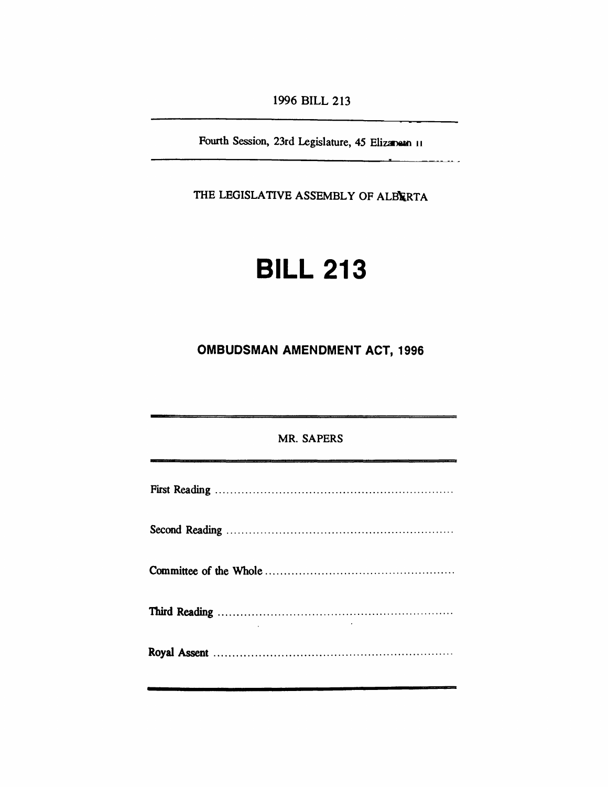*1996 BILL 213*

*Fourth Session, 23rd Legislature, 45 Elizabeth II*

\_\_\_\_\_\_

*THE LEGISLATIVE ASSEMBLY OF ALBERTA*

# *BILL 213*

*OMBUDSMAN AMENDMENT ACT, 1996*

| <b>MR. SAPERS</b> |
|-------------------|
|                   |
|                   |
|                   |
|                   |
|                   |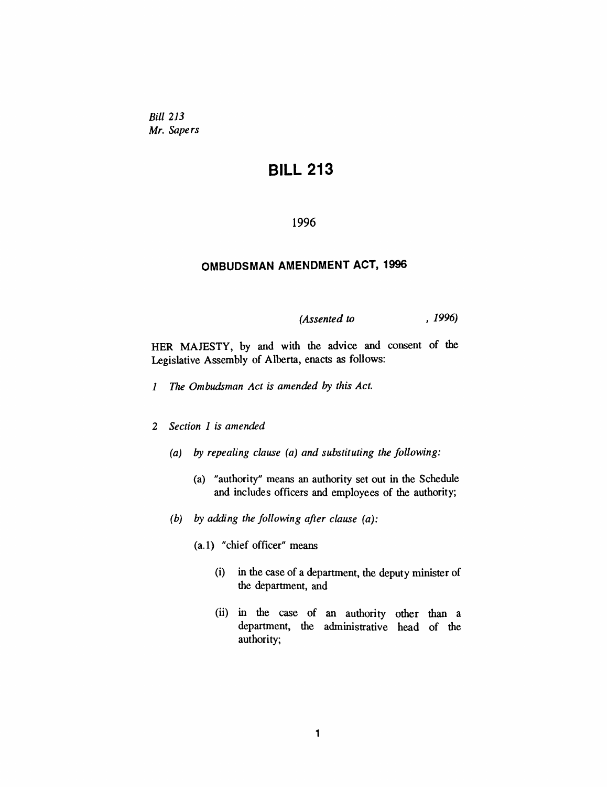*Bill 213 Mr. Sapers*

## *BILL 213*

#### *1996*

#### *OMBUDSMAN AMENDMENT ACT, 1996*

*(Assented to , 1996)*

*HER MAJESTY, by and with the advice and consent of the Legislative Assembly of Alberta, enacts as follows:*

- *1 The Ombudsman Act is amended by this Act.*
- *2 Section 1 is amended*
	- *(a) by repealing clause (a) and substituting the following:*
		- *(a) "authority" means an authority set out in the Schedule and includes officers and employees of the authority;*
	- *(b) by adding the following after clause (a):*
		- *(a.1) "chief officer" means*
			- *(i) in the case of a department, the deputy minister of the department, and*
			- *(ii) in the case of an authority other than a department, the administrative head of the authority;*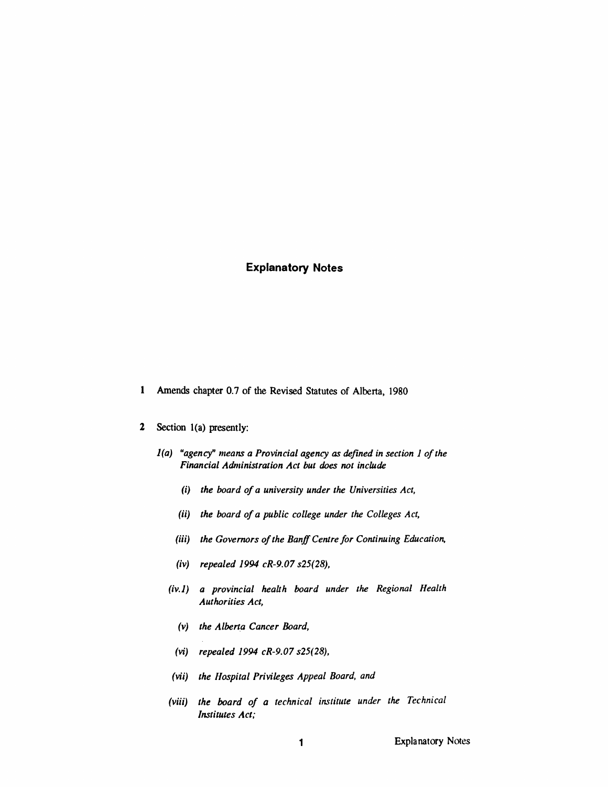#### *Explanatory Notes*

- *<sup>1</sup> Amends chapter 0.7 of the Revised Statutes of Alberta, 1980*
- *2 Section 1(a) presently:*
	- *1(a) "agency" means a Provincial agency as defined in section <sup>1</sup> ofthe Financial Administration Act but does not include*
		- *(i) the board of a university under the Universities Act,*
		- *(ii) the board of a public college under the Colleges Act,*
		- *(iii) the Governors ofthe BanffCentre for Continuing Education,*
		- *(iv) repealed 1994 cR-9.07 s25(28),*
		- *(iv.1) a provincial health board under the Regional Health Authorities Act,*
			- *(v) the Alberta Cancer Board,*
			- *(vi) repealed 1994 cR-9.07 s25(28),*
		- *(vii) the Hospital Privileges Appeal Board, and*
		- *(viii) the board of a technical institute under the Technical Institutes Act;*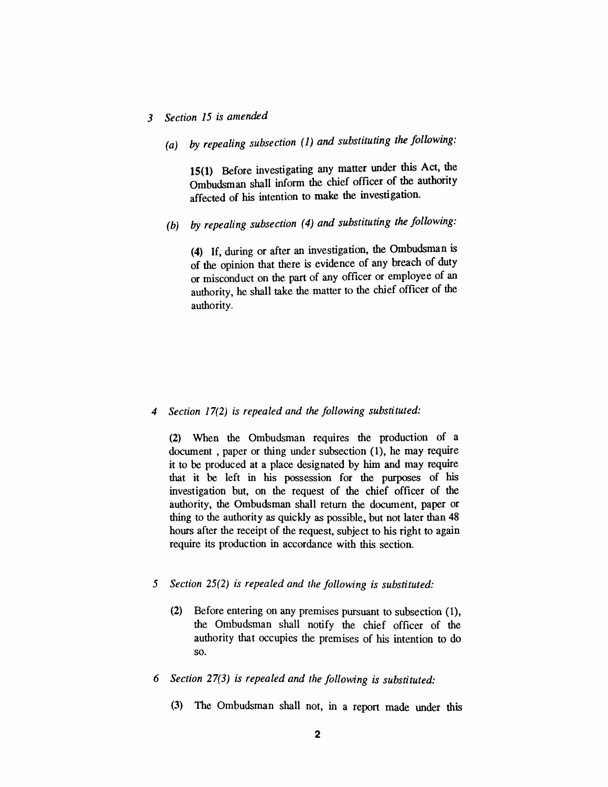### *3 Section 15 is amended*

*(a) by repealing subsection (1) and substituting the following.*

*15(1) Before investigating any matter under this Act, the Ombudsman shall inform the chief officer of the authority affected of his intention to make the investigation.*

*(b) by repealing subsection (4) and substituting the following.*

*(4) If, during or after an investigation, the Ombudsman is of the opinion that there is evidence of any breach of duty or misconduct on the part of any officer or employee of an authority, he shall take the matter to the chief officer of the authority.*

#### *4 Section 17(2) is repealed and the following substituted:*

*(2) When the Ombudsman requires the production of a document , paper or thing under subsection (1), he may require it to be produced at a place designated by him and may require that it be left in his possession for the purposes of his investigation but, on the request of the chief officer of the authority, the Ombudsman shall return the document, paper or thing to the authority as quickly as possible, but not later than 48 hours after the receipt of the request, subject to his right to again require its production in accordance with this section.*

#### *5 Section 25(2) is repealed and the following is substituted:*

- *(2) Before entering on any premises pursuant to subsection (1), the Ombudsman shall notify the chief officer of the authority that occupies the premises of his intention to do so.*
- *6 Section 27(3) is repealed and the following is substituted:*
	- *(3) The Ombudsman shall not, in a report made under this*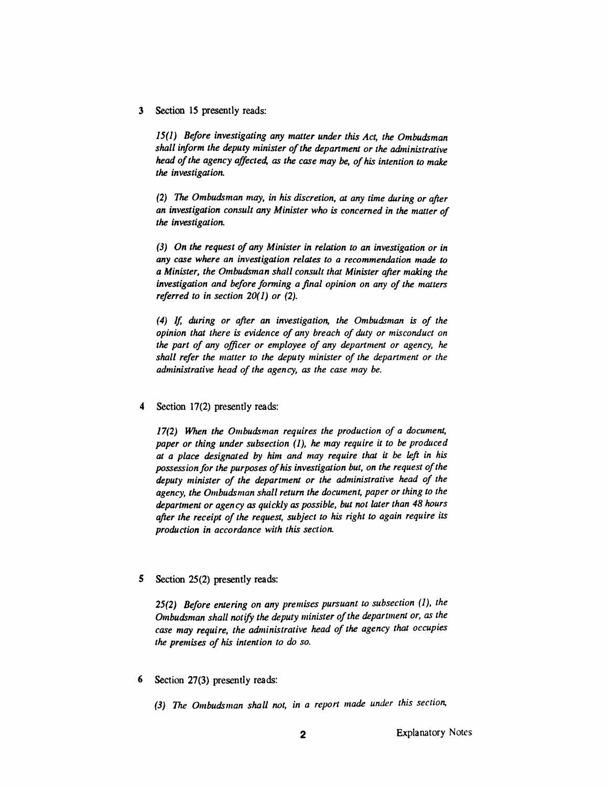*3 Section 15 presently reads:*

*15(1) Before investigating any matter under this Act, the Ombudsman shall inform the deputy minister ofthe department or the administrative head ofthe agency affected, as the case may be, ofhis intention to make the investigation.*

*(2) The Ombudsman may, in his discretion, at any time during or after an investigation consult any Minister who is concerned in the matter of the investigation.*

*(3) On the request ofany Minister in relation to an investigation or in any case where an investigation relates to a recommendation made to a Minister, the Ombudsman shall consult that Minister after making the investigation and before forming a final opinion on any of the matters referred to in section 20(1) or (2).*

*(4) If, during or after an investigation, the Ombudsman is of the opinion that there is evidence of any breach of duty or misconduct on the part of any officer or employee of any department or agency, he shall refer the matter to the deputy minister of the department or the administrative head of the agency, as the case may be.*

*4 Section 17(2) presently reads:*

*17(2) When the Ombudsman requires the production of a document, paper or thing under subsection (1), he may require it to be produced at a place designated by him and may require that it be left in his possessionfor the purposes ofhis investigation but, on the request ofthe deputy minister of the department or the administrative head of the agency, the Ombudsman shall return the document, paper or thing to the department or agency as quickly as possible, but not later than 48 hours after the receipt of the request, subject to his right to again require its production in accordance with this section.*

*5 Section 25(2) presently reads:*

*25(2) Before entering on any premises pursuant to subsection (1), the Ombudsman shall notify the deputy minister ofthe department or, as the case may require, the administrative head of the agency that occupies the premises of his intention to do so.*

- *6 Section 27(3) presently reads:*
	- *(3) The Ombudsman shall not, in a report made under this section,*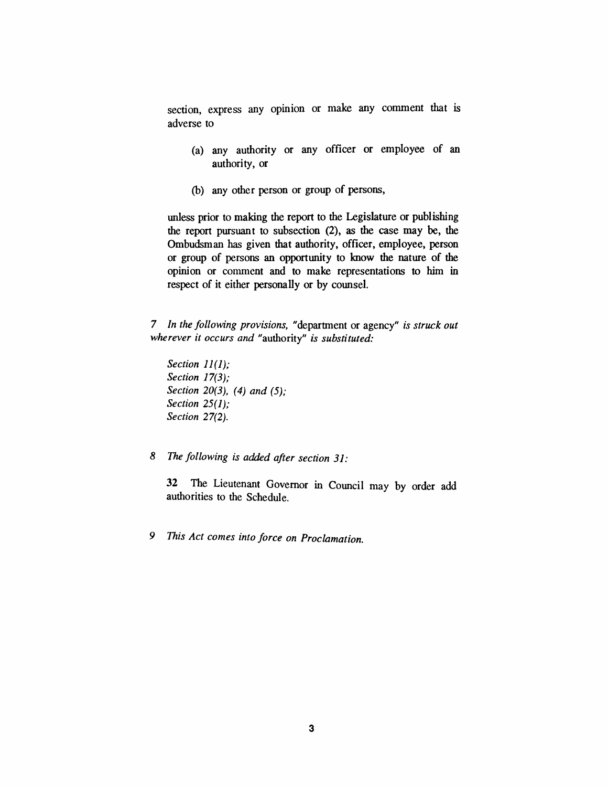*section, express any opinion or make any comment that is adverse to*

- *(a) any authority or any officer or employee of an authority, or*
- *(b) any other person or group of persons,*

*unless prior to making the report to the Legislature or publishing the report pursuant to subsection (2), as the case may be, the Ombudsman has given that authority, officer, employee, person or group of persons an opportunity to know the nature of the opinion or comment and to make representations to him in respect of it either personally or by counsel.*

*7 In the following provisions, "department or agency" is struck out wherever it occurs and "authority" is substituted:*

- *Section 11(1); Section 17(3); Section 20(3), (4) and (5); Section 25(1); Section 27(2).*
- *8 The following is added after section 31:*

*32 The Lieutenant Governor in Council may by order add authorities to the Schedule.*

*9 This Act comes into force on Proclamation.*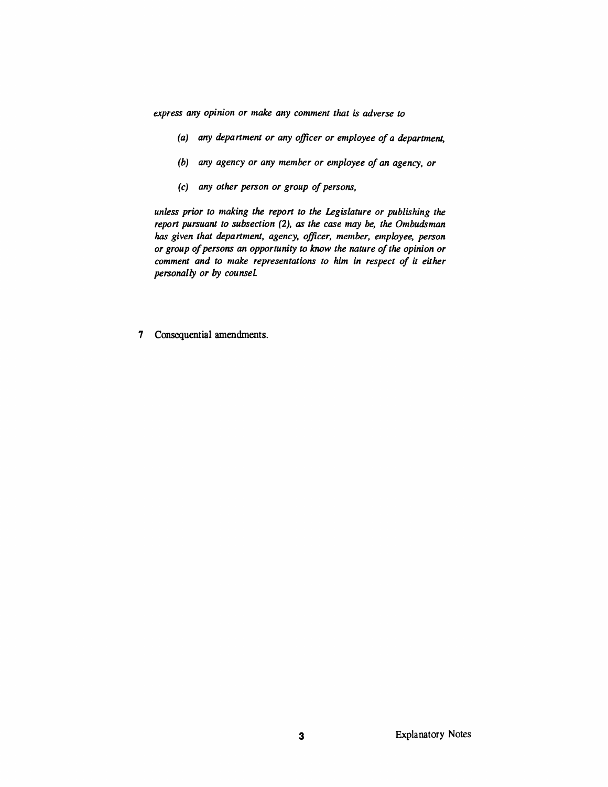*express any opinion or make any comment that is adverse to*

- *(a) any department or any officer or employee of a department,*
- *(b) any agency or any member or employee of an agency, or*
- *(c) any other person or group ofpersons,*

*unless prior to making the report to the Legislature or publishing the report pursuant to subsection (2), as the case may be, the Ombudsman has given that department, agency, officer, member, employee, person or group ofpersons an opportunity to know the nature ofthe opinion or comment and to make representations to him in respect of it either personally or by counsel.*

*7 Consequential amendments.*